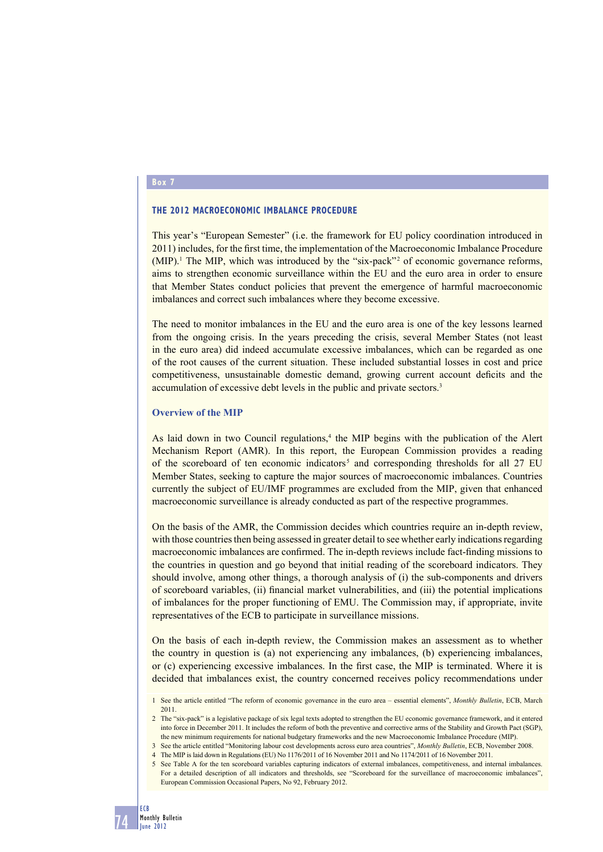# **Box 7**

### **THE 2012 MACROECONOMIC IMBALANCE PROCEDURE**

This year's "European Semester" (i.e. the framework for EU policy coordination introduced in 2011) includes, for the first time, the implementation of the Macroeconomic Imbalance Procedure (MIP).<sup>1</sup> The MIP, which was introduced by the "six-pack"<sup>2</sup> of economic governance reforms, aims to strengthen economic surveillance within the EU and the euro area in order to ensure that Member States conduct policies that prevent the emergence of harmful macroeconomic imbalances and correct such imbalances where they become excessive.

The need to monitor imbalances in the EU and the euro area is one of the key lessons learned from the ongoing crisis. In the years preceding the crisis, several Member States (not least in the euro area) did indeed accumulate excessive imbalances, which can be regarded as one of the root causes of the current situation. These included substantial losses in cost and price competitiveness, unsustainable domestic demand, growing current account deficits and the accumulation of excessive debt levels in the public and private sectors.3

### **Overview of the MIP**

As laid down in two Council regulations,<sup>4</sup> the MIP begins with the publication of the Alert Mechanism Report (AMR). In this report, the European Commission provides a reading of the scoreboard of ten economic indicators<sup>5</sup> and corresponding thresholds for all 27 EU Member States, seeking to capture the major sources of macroeconomic imbalances. Countries currently the subject of EU/IMF programmes are excluded from the MIP, given that enhanced macroeconomic surveillance is already conducted as part of the respective programmes.

On the basis of the AMR, the Commission decides which countries require an in-depth review, with those countries then being assessed in greater detail to see whether early indications regarding macroeconomic imbalances are confirmed. The in-depth reviews include fact-finding missions to the countries in question and go beyond that initial reading of the scoreboard indicators. They should involve, among other things, a thorough analysis of (i) the sub-components and drivers of scoreboard variables, (ii) financial market vulnerabilities, and (iii) the potential implications of imbalances for the proper functioning of EMU. The Commission may, if appropriate, invite representatives of the ECB to participate in surveillance missions.

On the basis of each in-depth review, the Commission makes an assessment as to whether the country in question is (a) not experiencing any imbalances, (b) experiencing imbalances, or (c) experiencing excessive imbalances. In the first case, the MIP is terminated. Where it is decided that imbalances exist, the country concerned receives policy recommendations under

<sup>1</sup> See the article entitled "The reform of economic governance in the euro area – essential elements", *Monthly Bulletin*, ECB, March 2011.

<sup>2</sup> The "six-pack" is a legislative package of six legal texts adopted to strengthen the EU economic governance framework, and it entered into force in December 2011. It includes the reform of both the preventive and corrective arms of the Stability and Growth Pact (SGP), the new minimum requirements for national budgetary frameworks and the new Macroeconomic Imbalance Procedure (MIP).

<sup>3</sup> See the article entitled "Monitoring labour cost developments across euro area countries", *Monthly Bulletin*, ECB, November 2008.

<sup>4</sup> The MIP is laid down in Regulations (EU) No 1176/2011 of 16 November 2011 and No 1174/2011 of 16 November 2011.

<sup>5</sup> See Table A for the ten scoreboard variables capturing indicators of external imbalances, competitiveness, and internal imbalances. For a detailed description of all indicators and thresholds, see "Scoreboard for the surveillance of macroeconomic imbalances" European Commission Occasional Papers, No 92, February 2012.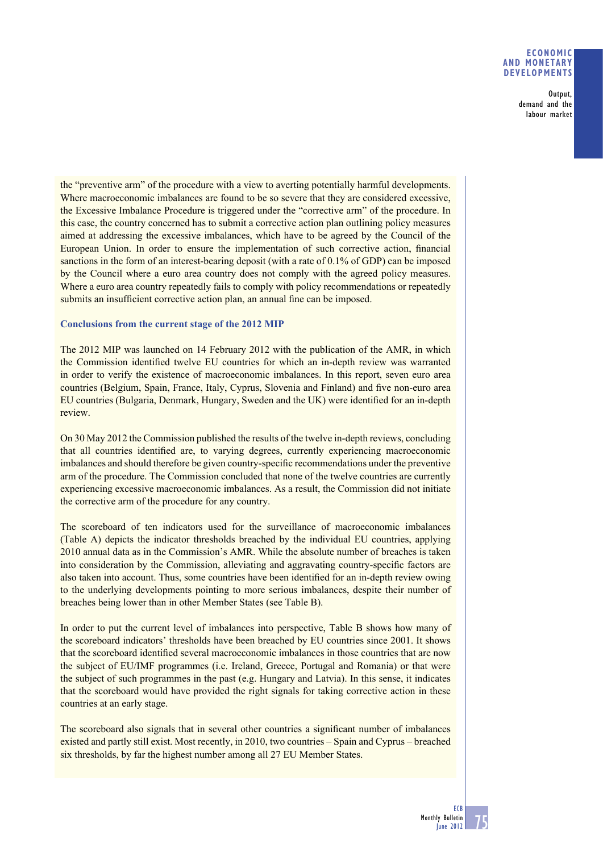## **ECONOMIC AND MONETARY DEVELOPMENTS**

Output, demand and the labour market

the "preventive arm" of the procedure with a view to averting potentially harmful developments. Where macroeconomic imbalances are found to be so severe that they are considered excessive, the Excessive Imbalance Procedure is triggered under the "corrective arm" of the procedure. In this case, the country concerned has to submit a corrective action plan outlining policy measures aimed at addressing the excessive imbalances, which have to be agreed by the Council of the European Union. In order to ensure the implementation of such corrective action, financial sanctions in the form of an interest-bearing deposit (with a rate of 0.1% of GDP) can be imposed by the Council where a euro area country does not comply with the agreed policy measures. Where a euro area country repeatedly fails to comply with policy recommendations or repeatedly submits an insufficient corrective action plan, an annual fine can be imposed.

## **Conclusions from the current stage of the 2012 MIP**

The 2012 MIP was launched on 14 February 2012 with the publication of the AMR, in which the Commission identified twelve EU countries for which an in-depth review was warranted in order to verify the existence of macroeconomic imbalances. In this report, seven euro area countries (Belgium, Spain, France, Italy, Cyprus, Slovenia and Finland) and five non-euro area EU countries (Bulgaria, Denmark, Hungary, Sweden and the UK) were identified for an in-depth review.

On 30 May 2012 the Commission published the results of the twelve in-depth reviews, concluding that all countries identified are, to varying degrees, currently experiencing macroeconomic imbalances and should therefore be given country-specific recommendations under the preventive arm of the procedure. The Commission concluded that none of the twelve countries are currently experiencing excessive macroeconomic imbalances. As a result, the Commission did not initiate the corrective arm of the procedure for any country.

The scoreboard of ten indicators used for the surveillance of macroeconomic imbalances (Table A) depicts the indicator thresholds breached by the individual EU countries, applying 2010 annual data as in the Commission's AMR. While the absolute number of breaches is taken into consideration by the Commission, alleviating and aggravating country-specific factors are also taken into account. Thus, some countries have been identified for an in-depth review owing to the underlying developments pointing to more serious imbalances, despite their number of breaches being lower than in other Member States (see Table B).

In order to put the current level of imbalances into perspective, Table B shows how many of the scoreboard indicators' thresholds have been breached by EU countries since 2001. It shows that the scoreboard identified several macroeconomic imbalances in those countries that are now the subject of EU/IMF programmes (i.e. Ireland, Greece, Portugal and Romania) or that were the subject of such programmes in the past (e.g. Hungary and Latvia). In this sense, it indicates that the scoreboard would have provided the right signals for taking corrective action in these countries at an early stage.

The scoreboard also signals that in several other countries a significant number of imbalances existed and partly still exist. Most recently, in 2010, two countries – Spain and Cyprus – breached six thresholds, by far the highest number among all 27 EU Member States.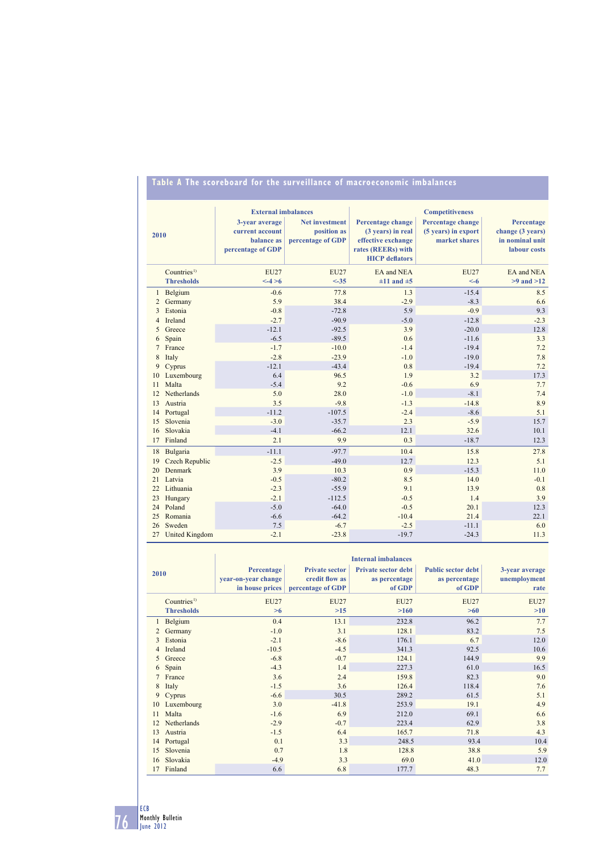|                |                         | <b>External imbalances</b> |                       | <b>Competitiveness</b>   |                          |                  |  |  |  |
|----------------|-------------------------|----------------------------|-----------------------|--------------------------|--------------------------|------------------|--|--|--|
| 2010           |                         | 3-year average             | <b>Net investment</b> | <b>Percentage change</b> | <b>Percentage change</b> | Percentage       |  |  |  |
|                |                         | current account            | position as           | (3 years) in real        | (5 years) in export      | change (3 years) |  |  |  |
|                |                         | <b>balance</b> as          | percentage of GDP     | effective exchange       | market shares            | in nominal unit  |  |  |  |
|                |                         | percentage of GDP          |                       | rates (REERs) with       |                          | labour costs     |  |  |  |
|                |                         |                            |                       | <b>HICP</b> deflators    |                          |                  |  |  |  |
|                | Countries <sup>1)</sup> | <b>EU27</b>                | <b>EU27</b>           | EA and NEA               | <b>EU27</b>              | EA and NEA       |  |  |  |
|                | <b>Thresholds</b>       | $< -4 > 6$                 | $< -35$               | $\pm 11$ and $\pm 5$     | $\leq -6$                | $>9$ and $>12$   |  |  |  |
| $\mathbf{1}$   | Belgium                 | $-0.6$                     | 77.8                  | 1.3                      | $-15.4$                  | 8.5              |  |  |  |
| $\overline{2}$ | Germany                 | 5.9                        | 38.4                  | $-2.9$                   | $-8.3$                   | 6.6              |  |  |  |
| 3              | Estonia                 | $-0.8$                     | $-72.8$               | 5.9                      | $-0.9$                   | 9.3              |  |  |  |
| $\overline{4}$ | Ireland                 | $-2.7$                     | $-90.9$               | $-5.0$                   | $-12.8$                  | $-2.3$           |  |  |  |
| 5              | Greece                  | $-12.1$                    | $-92.5$               | 3.9                      | $-20.0$                  | 12.8             |  |  |  |
| 6              | Spain                   | $-6.5$                     | $-89.5$               | 0.6                      | $-11.6$                  | 3.3              |  |  |  |
| 7              | France                  | $-1.7$                     | $-10.0$               | $-1.4$                   | $-19.4$                  | 7.2              |  |  |  |
| 8              | Italy                   | $-2.8$                     | $-23.9$               | $-1.0$                   | $-19.0$                  | 7.8              |  |  |  |
| 9              | Cyprus                  | $-12.1$                    | $-43.4$               | 0.8                      | $-19.4$                  | 7.2              |  |  |  |
|                | 10 Luxembourg           | 6.4                        | 96.5                  | 1.9                      | 3.2                      | 17.3             |  |  |  |
| 11             | Malta                   | $-5.4$                     | 9.2                   | $-0.6$                   | 6.9                      | 7.7              |  |  |  |
|                | 12 Netherlands          | 5.0                        | 28.0                  | $-1.0$                   | $-8.1$                   | 7.4              |  |  |  |
| 13             | Austria                 | 3.5                        | $-9.8$                | $-1.3$                   | $-14.8$                  | 8.9              |  |  |  |
| 14             | Portugal                | $-11.2$                    | $-107.5$              | $-2.4$                   | $-8.6$                   | 5.1              |  |  |  |
| 15             | Slovenia                | $-3.0$                     | $-35.7$               | 2.3                      | $-5.9$                   | 15.7             |  |  |  |
| 16             | Slovakia                | $-4.1$                     | $-66.2$               | 12.1                     | 32.6                     | 10.1             |  |  |  |
| 17             | Finland                 | 2.1                        | 9.9                   | 0.3                      | $-18.7$                  | 12.3             |  |  |  |
| 18             | Bulgaria                | $-11.1$                    | $-97.7$               | 10.4                     | 15.8                     | 27.8             |  |  |  |
| 19             | Czech Republic          | $-2.5$                     | $-49.0$               | 12.7                     | 12.3                     | 5.1              |  |  |  |
| 20             | Denmark                 | 3.9                        | 10.3                  | 0.9                      | $-15.3$                  | 11.0             |  |  |  |
| 21             | Latvia                  | $-0.5$                     | $-80.2$               | 8.5                      | 14.0                     | $-0.1$           |  |  |  |
| 22             | Lithuania               | $-2.3$                     | $-55.9$               | 9.1                      | 13.9                     | 0.8              |  |  |  |
| 23             | Hungary                 | $-2.1$                     | $-112.5$              | $-0.5$                   | 1.4                      | 3.9              |  |  |  |
| 24             | Poland                  | $-5.0$                     | $-64.0$               | $-0.5$                   | 20.1                     | 12.3             |  |  |  |
| 25             | Romania                 | $-6.6$                     | $-64.2$               | $-10.4$                  | 21.4                     | 22.1             |  |  |  |
| 26             | Sweden                  | 7.5                        | $-6.7$                | $-2.5$                   | $-11.1$                  | 6.0              |  |  |  |
|                | 27 United Kingdom       | $-2.1$                     | $-23.8$               | $-19.7$                  | $-24.3$                  | 11.3             |  |  |  |

# **Table A The scoreboard for the surveillance of macroeconomic imbalances**

| 2010           |                        | <b>Internal imbalances</b> |                       |                            |                           |                |  |  |  |
|----------------|------------------------|----------------------------|-----------------------|----------------------------|---------------------------|----------------|--|--|--|
|                |                        | Percentage                 | <b>Private sector</b> | <b>Private sector debt</b> | <b>Public sector debt</b> | 3-year average |  |  |  |
|                |                        | year-on-year change        | credit flow as        | as percentage              | as percentage             | unemployment   |  |  |  |
|                |                        | in house prices            | percentage of GDP     | of GDP                     | of GDP                    | rate           |  |  |  |
|                | Countries <sup>1</sup> | <b>EU27</b>                | <b>EU27</b>           | <b>EU27</b>                | <b>EU27</b>               | <b>EU27</b>    |  |  |  |
|                | <b>Thresholds</b>      | >6                         | $>15$                 | >160                       | >60                       | >10            |  |  |  |
|                | Belgium                | 0.4                        | 13.1                  | 232.8                      | 96.2                      | 7.7            |  |  |  |
| 2              | Germany                | $-1.0$                     | 3.1                   | 128.1                      | 83.2                      | 7.5            |  |  |  |
| 3              | Estonia                | $-2.1$                     | $-8.6$                | 176.1                      | 6.7                       | 12.0           |  |  |  |
| $\overline{4}$ | Ireland                | $-10.5$                    | $-4.5$                | 341.3                      | 92.5                      | 10.6           |  |  |  |
| 5.             | Greece                 | $-6.8$                     | $-0.7$                | 124.1                      | 144.9                     | 9.9            |  |  |  |
| 6              | Spain                  | $-4.3$                     | 1.4                   | 227.3                      | 61.0                      | 16.5           |  |  |  |
|                | France                 | 3.6                        | 2.4                   | 159.8                      | 82.3                      | 9.0            |  |  |  |
| 8              | Italy                  | $-1.5$                     | 3.6                   | 126.4                      | 118.4                     | 7.6            |  |  |  |
| 9              | Cyprus                 | $-6.6$                     | 30.5                  | 289.2                      | 61.5                      | 5.1            |  |  |  |
| 10             | Luxembourg             | 3.0                        | $-41.8$               | 253.9                      | 19.1                      | 4.9            |  |  |  |
| 11             | Malta                  | $-1.6$                     | 6.9                   | 212.0                      | 69.1                      | 6.6            |  |  |  |
| 12             | Netherlands            | $-2.9$                     | $-0.7$                | 223.4                      | 62.9                      | 3.8            |  |  |  |
| 13             | Austria                | $-1.5$                     | 6.4                   | 165.7                      | 71.8                      | 4.3            |  |  |  |
| 14             | Portugal               | 0.1                        | 3.3                   | 248.5                      | 93.4                      | 10.4           |  |  |  |
| 15             | Slovenia               | 0.7                        | 1.8                   | 128.8                      | 38.8                      | 5.9            |  |  |  |
| 16             | Slovakia               | $-4.9$                     | 3.3                   | 69.0                       | 41.0                      | 12.0           |  |  |  |
| 17             | Finland                | 6.6                        | 6.8                   | 177.7                      | 48.3                      | 7.7            |  |  |  |

76 ECB Monthly Bulletin June 2012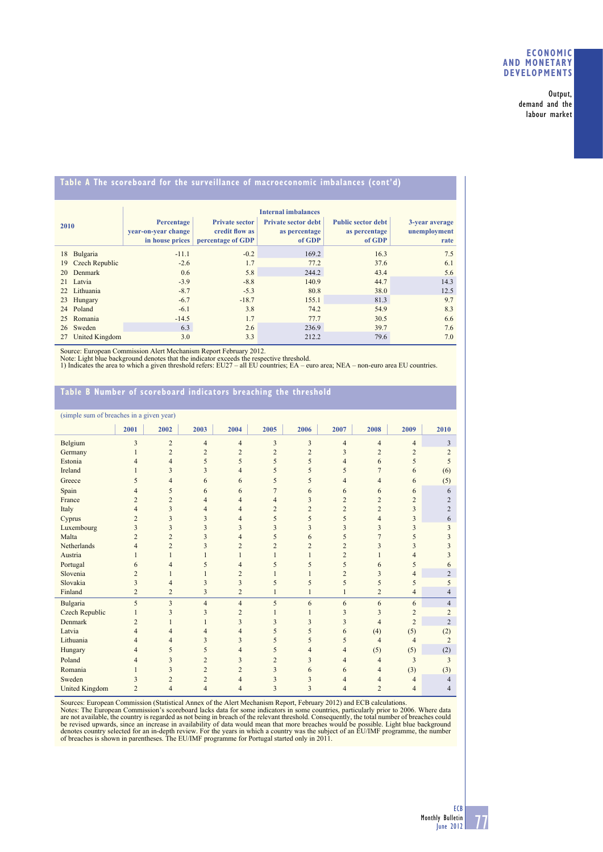## **ECONOMIC AND MONETARY DEVELOPMENTS**

Output, demand and the labour market

# **Table A The scoreboard for the surveillance of macroeconomic imbalances (cont'd)**

|      |                       | <b>Internal imbalances</b>                           |                                                              |                                                       |                                                      |                                        |  |  |  |  |
|------|-----------------------|------------------------------------------------------|--------------------------------------------------------------|-------------------------------------------------------|------------------------------------------------------|----------------------------------------|--|--|--|--|
| 2010 |                       | Percentage<br>year-on-year change<br>in house prices | <b>Private sector</b><br>credit flow as<br>percentage of GDP | <b>Private sector debt</b><br>as percentage<br>of GDP | <b>Public sector debt</b><br>as percentage<br>of GDP | 3-year average<br>unemployment<br>rate |  |  |  |  |
| 18   | Bulgaria              | $-11.1$                                              | $-0.2$                                                       | 169.2                                                 | 16.3                                                 | 7.5                                    |  |  |  |  |
| 19   | <b>Czech Republic</b> | $-2.6$                                               | 1.7                                                          | 77.2                                                  | 37.6                                                 | 6.1                                    |  |  |  |  |
| 20   | Denmark               | 0.6                                                  | 5.8                                                          | 244.2                                                 | 43.4                                                 | 5.6                                    |  |  |  |  |
|      | 21 Latvia             | $-3.9$                                               | $-8.8$                                                       | 140.9                                                 | 44.7                                                 | 14.3                                   |  |  |  |  |
|      | 22 Lithuania          | $-8.7$                                               | $-5.3$                                                       | 80.8                                                  | 38.0                                                 | 12.5                                   |  |  |  |  |
| 23   | Hungary               | $-6.7$                                               | $-18.7$                                                      | 155.1                                                 | 81.3                                                 | 9.7                                    |  |  |  |  |
|      | 24 Poland             | $-6.1$                                               | 3.8                                                          | 74.2                                                  | 54.9                                                 | 8.3                                    |  |  |  |  |
| 25   | Romania               | $-14.5$                                              | 1.7                                                          | 77.7                                                  | 30.5                                                 | 6.6                                    |  |  |  |  |
|      | 26 Sweden             | 6.3                                                  | 2.6                                                          | 236.9                                                 | 39.7                                                 | 7.6                                    |  |  |  |  |
| 27   | United Kingdom        | 3.0                                                  | 3.3                                                          | 212.2                                                 | 79.6                                                 | 7.0                                    |  |  |  |  |

Source: European Commission Alert Mechanism Report February 2012.<br>Note: Light blue background denotes that the indicator exceeds the respective threshold.<br>1) Indicates the area to which a given threshold refers: EU27 – all

# **Table B Number of scoreboard indicators breaching the threshold**

| (simple sum of breaches in a given year) |                |                |                |                |                |                |                |                |                |      |
|------------------------------------------|----------------|----------------|----------------|----------------|----------------|----------------|----------------|----------------|----------------|------|
|                                          | 2001           | 2002           | 2003           | 2004           | 2005           | 2006           | 2007           | 2008           | 2009           | 2010 |
| Belgium                                  | 3              | $\overline{2}$ | $\overline{4}$ | $\overline{4}$ | 3              | 3              | $\overline{4}$ | $\overline{4}$ | $\overline{4}$ |      |
| Germany                                  |                | $\overline{2}$ | $\overline{2}$ | $\overline{c}$ | $\overline{2}$ | $\overline{2}$ | 3              | $\overline{c}$ | $\overline{c}$ |      |
| Estonia                                  | 4              | 4              | 5              | 5              | 5              | 5              | 4              | 6              | 5              |      |
| Ireland                                  |                | 3              | 3              | 4              | 5              | 5              | 5              | $\overline{7}$ | 6              | (6)  |
| Greece                                   | 5              | $\overline{4}$ | 6              | 6              | 5              | 5              | 4              | $\overline{4}$ | 6              | (5)  |
| Spain                                    | 4              | 5              | 6              | 6              | $\overline{7}$ | 6              | 6              | 6              | 6              |      |
| France                                   | 2              | $\overline{2}$ | 4              | $\overline{4}$ | 4              | 3              | $\overline{c}$ | $\overline{2}$ | $\overline{2}$ |      |
| Italy                                    | 4              | 3              | 4              | 4              | $\overline{2}$ | $\overline{c}$ | $\overline{c}$ | $\overline{2}$ | 3              |      |
| Cyprus                                   | $\overline{c}$ | 3              | 3              | 4              | 5              | 5              | 5              | $\overline{4}$ | 3              |      |
| Luxembourg                               | 3              | 3              | 3              | 3              | 3              | 3              | 3              | 3              | 3              |      |
| Malta                                    | $\overline{c}$ | $\overline{2}$ | 3              | 4              | 5              | 6              | 5              |                | 5              |      |
| Netherlands                              | 4              | $\overline{2}$ |                | 2              | $\overline{c}$ | $\overline{2}$ | $\overline{2}$ | 3              | 3              |      |
| Austria                                  |                | 1              |                | 1              |                |                | $\overline{2}$ |                | 4              |      |
| Portugal                                 | 6              | 4              |                | 4              | 5              | 5              | 5              | 6              | 5              |      |
| Slovenia                                 | $\overline{c}$ |                |                | $\overline{c}$ |                |                | $\overline{2}$ | 3              | 4              |      |
| Slovakia                                 | 3              | $\overline{4}$ | 3              | 3              | 5              | 5              | 5              | 5              | 5              |      |
| Finland                                  | $\overline{c}$ | $\overline{2}$ | 3              | $\overline{c}$ | 1              | 1              |                | $\overline{2}$ | $\overline{4}$ |      |
| Bulgaria                                 | 5              | 3              | $\overline{4}$ | $\overline{4}$ | 5              | 6              | 6              | 6              | 6              |      |
| <b>Czech Republic</b>                    |                | 3              | 3              | $\overline{c}$ |                |                | 3              | 3              | $\overline{2}$ |      |
| Denmark                                  | $\overline{c}$ |                |                | 3              | 3              | 3              | 3              | $\overline{4}$ | $\overline{2}$ |      |
| Latvia                                   | 4              | $\overline{4}$ | 4              | 4              | 5              | 5              | 6              | (4)            | (5)            | (2)  |
| Lithuania                                | 4              | $\overline{4}$ | 3              | 3              | 5              | 5              | 5              | $\overline{4}$ | $\overline{4}$ |      |
| Hungary                                  | 4              | 5              | 5              | 4              | 5              | 4              | $\overline{4}$ | (5)            | (5)            | (2)  |
| Poland                                   | 4              | 3              | $\overline{2}$ | 3              | $\overline{2}$ | 3              | 4              | $\overline{4}$ | 3              |      |
| Romania                                  |                | 3              | $\overline{2}$ | $\overline{c}$ | 3              | 6              | 6              | 4              | (3)            | (3)  |
| Sweden                                   | 3              | $\overline{c}$ | $\overline{2}$ | 4              | 3              | 3              | 4              | 4              | 4              |      |
| <b>United Kingdom</b>                    | $\overline{2}$ | $\Delta$       | 4              | 4              | 3              | 3              | 4              | $\overline{2}$ | 4              |      |

Sources: European Commission (Statistical Annex of the Alert Mechanism Report, February 2012) and ECB calculations.<br>Notes: The European Commission's scoreboard lacks data for some indicators in some countries, particularly